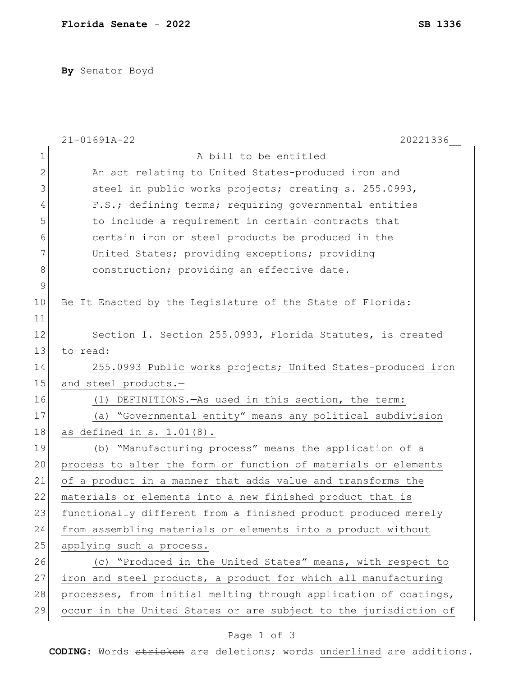**By** Senator Boyd

|             | 21-01691A-22<br>20221336                                         |
|-------------|------------------------------------------------------------------|
| $\mathbf 1$ | A bill to be entitled                                            |
| 2           | An act relating to United States-produced iron and               |
| 3           | steel in public works projects; creating s. 255.0993,            |
| 4           | F.S.; defining terms; requiring governmental entities            |
| 5           | to include a requirement in certain contracts that               |
| 6           | certain iron or steel products be produced in the                |
| 7           | United States; providing exceptions; providing                   |
| 8           | construction; providing an effective date.                       |
| $\mathsf 9$ |                                                                  |
| 10          | Be It Enacted by the Legislature of the State of Florida:        |
| 11          |                                                                  |
| 12          | Section 1. Section 255.0993, Florida Statutes, is created        |
| 13          | to read:                                                         |
| 14          | 255.0993 Public works projects; United States-produced iron      |
| 15          | and steel products.-                                             |
| 16          | (1) DEFINITIONS. - As used in this section, the term:            |
| 17          | (a) "Governmental entity" means any political subdivision        |
| 18          | as defined in s. 1.01(8).                                        |
| 19          | (b) "Manufacturing process" means the application of a           |
| 20          | process to alter the form or function of materials or elements   |
| 21          | of a product in a manner that adds value and transforms the      |
| 22          | materials or elements into a new finished product that is        |
| 23          | functionally different from a finished product produced merely   |
| 24          | from assembling materials or elements into a product without     |
| 25          | applying such a process.                                         |
| 26          | (c) "Produced in the United States" means, with respect to       |
| 27          | iron and steel products, a product for which all manufacturing   |
| 28          | processes, from initial melting through application of coatings, |
| 29          | occur in the United States or are subject to the jurisdiction of |
|             |                                                                  |

## Page 1 of 3

**CODING**: Words stricken are deletions; words underlined are additions.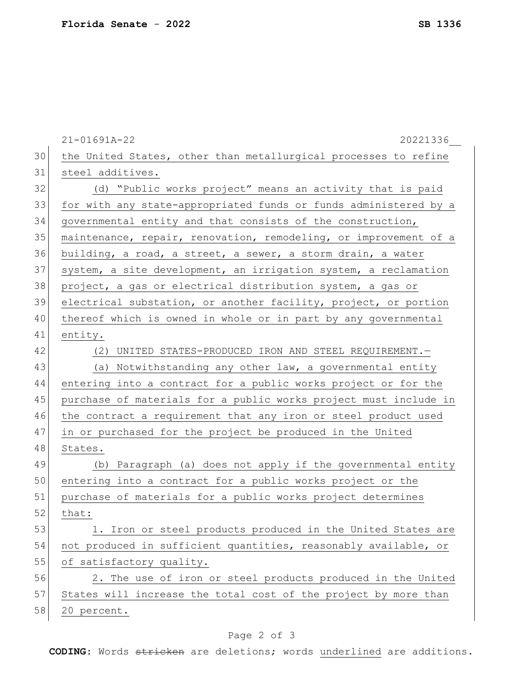|    | $21 - 01691A - 22$<br>20221336                                   |
|----|------------------------------------------------------------------|
| 30 | the United States, other than metallurgical processes to refine  |
| 31 | steel additives.                                                 |
| 32 | (d) "Public works project" means an activity that is paid        |
| 33 | for with any state-appropriated funds or funds administered by a |
| 34 | governmental entity and that consists of the construction,       |
| 35 | maintenance, repair, renovation, remodeling, or improvement of a |
| 36 | building, a road, a street, a sewer, a storm drain, a water      |
| 37 | system, a site development, an irrigation system, a reclamation  |
| 38 | project, a gas or electrical distribution system, a gas or       |
| 39 | electrical substation, or another facility, project, or portion  |
| 40 | thereof which is owned in whole or in part by any governmental   |
| 41 | entity.                                                          |
| 42 | (2) UNITED STATES-PRODUCED IRON AND STEEL REQUIREMENT. -         |
| 43 | (a) Notwithstanding any other law, a governmental entity         |
| 44 | entering into a contract for a public works project or for the   |
| 45 | purchase of materials for a public works project must include in |
| 46 | the contract a requirement that any iron or steel product used   |
| 47 | in or purchased for the project be produced in the United        |
| 48 | States.                                                          |
| 49 | (b) Paragraph (a) does not apply if the governmental entity      |
| 50 | entering into a contract for a public works project or the       |
| 51 | purchase of materials for a public works project determines      |
| 52 | that:                                                            |
| 53 | 1. Iron or steel products produced in the United States are      |
| 54 | not produced in sufficient quantities, reasonably available, or  |
| 55 | of satisfactory quality.                                         |
| 56 | 2. The use of iron or steel products produced in the United      |
| 57 | States will increase the total cost of the project by more than  |
| 58 | 20 percent.                                                      |
|    |                                                                  |

## Page 2 of 3

**CODING**: Words stricken are deletions; words underlined are additions.